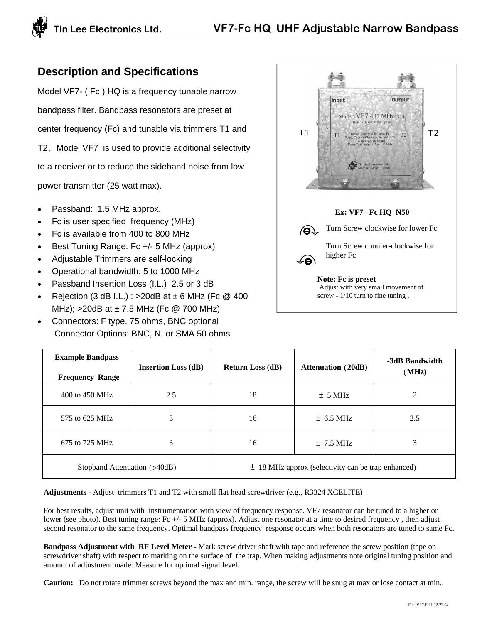## **Description and Specifications**

Model VF7- ( Fc ) HQ is a frequency tunable narrow bandpass filter. Bandpass resonators are preset at center frequency (Fc) and tunable via trimmers T1 and T2. Model VF7 is used to provide additional selectivity to a receiver or to reduce the sideband noise from low power transmitter (25 watt max).

- Passband: 1.5 MHz approx.
- Fc is user specified frequency (MHz)
- Fc is available from 400 to 800 MHz
- Best Tuning Range: Fc +/- 5 MHz (approx)
- Adjustable Trimmers are self-locking
- Operational bandwidth: 5 to 1000 MHz
- Passband Insertion Loss (I.L.) 2.5 or 3 dB
- Rejection  $(3 dB I.L.)$ : >20dB at  $\pm 6 MHz$  (Fc @ 400) MHz);  $>$ 20dB at  $\pm$  7.5 MHz (Fc @ 700 MHz)
- Connectors: F type, 75 ohms, BNC optional Connector Options: BNC, N, or SMA 50 ohms



| <b>Example Bandpass</b><br><b>Frequency Range</b> | <b>Insertion Loss (dB)</b> | <b>Return Loss (dB)</b>                                | <b>Attenuation (20dB)</b> | -3dB Bandwidth<br>(MHz) |
|---------------------------------------------------|----------------------------|--------------------------------------------------------|---------------------------|-------------------------|
| 400 to 450 MHz                                    | 2.5                        | 18                                                     | $±$ 5 MHz                 | 2                       |
| 575 to 625 MHz                                    | 3                          | 16                                                     | $\pm$ 6.5 MHz             | 2.5                     |
| 675 to 725 MHz                                    | 3                          | 16                                                     | $\pm$ 7.5 MHz             | 3                       |
| Stopband Attenuation (>40dB)                      |                            | $\pm$ 18 MHz approx (selectivity can be trap enhanced) |                           |                         |

**Adjustments -** Adjust trimmers T1 and T2 with small flat head screwdriver (e.g., R3324 XCELITE)

For best results, adjust unit with instrumentation with view of frequency response. VF7 resonator can be tuned to a higher or lower (see photo). Best tuning range: Fc +/- 5 MHz (approx). Adjust one resonator at a time to desired frequency, then adjust second resonator to the same frequency. Optimal bandpass frequency response occurs when both resonators are tuned to same Fc.

**Bandpass Adjustment with RF Level Meter -** Mark screw driver shaft with tape and reference the screw position (tape on screwdriver shaft) with respect to marking on the surface of the trap. When making adjustments note original tuning position and amount of adjustment made. Measure for optimal signal level.

**Caution:** Do not rotate trimmer screws beyond the max and min. range, the screw will be snug at max or lose contact at min..